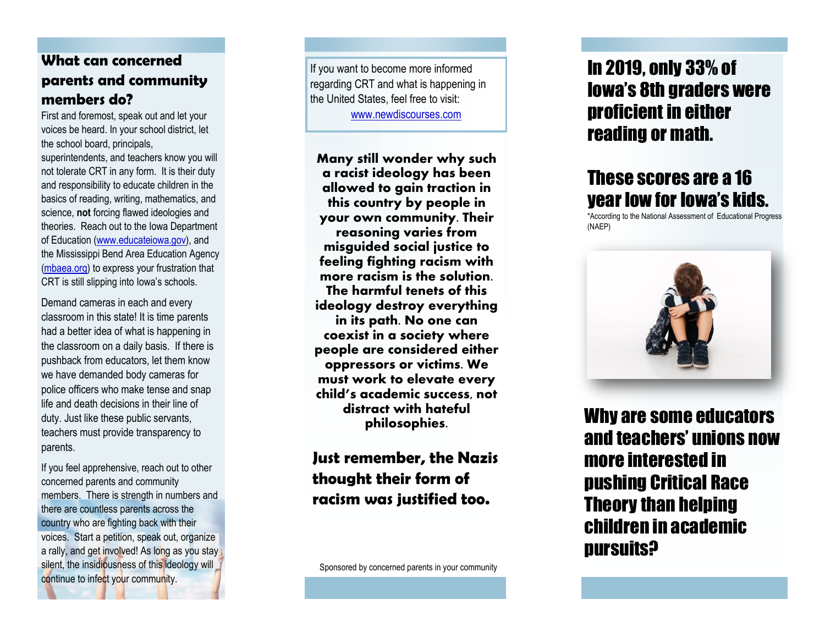#### **What can concerned parents and community members do?**

First and foremost, speak out and let your voices be heard. In your school district, let the school board, principals,

superintendents, and teachers know you will not tolerate CRT in any form. It is their duty and responsibility to educate children in the basics of reading, writing, mathematics, and science, **not** forcing flawed ideologies and theories. Reach out to the Iowa Department of Education (www.educateiowa.gov), and the Mississippi Bend Area Education Agency<br>(mbaea.org) to express your frustration that CRT is still slipping into Iowa's schools.

Demand cameras in each and every classroom in this state! It is time parents had a better idea of what is happening in the classroom on a daily basis. If there is pushback from educators, let them know we have demanded body cameras for police officers who make tense and snap life and death decisions in their line of duty. Just like these public servants, teachers must provide transparency to parents.

If you feel apprehensive, reach out to other concerned parents and community members. There is strength in numbers and there are countless parents across the country who are fighting back with their voices. Start a petition, speak out, organize a rally, and get involved! As long as you stay silent, the insidiousness of this ideology will continue to infect your community.

If you want to become more informed regarding CRT and what is happening in the United States, feel free to visit:

\*

www.newdiscourses.com

**Many still wonder why such a racist ideology has been allowed to gain traction in this country by people in your own community. Their reasoning varies from misguided social justice to feeling fighting racism with more racism is the solution. The harmful tenets of this ideology destroy everything in its path. No one can coexist in a society where people are considered either oppressors or victims. We must work to elevate every child's academic success, not distract with hateful philosophies.**

**Just remember, the Nazis thought their form of racism was justified too.** 

Sponsored by concerned parents in your community

## In 2019, only 33% of Iowa 's 8th graders were proficient in either reading or math.

# These scores are a 16 year low for Iowa 's kids.

\*According to the National Assessment of Educational Progress (NAEP)



Why are some educators and teachers' unions now more interested in pushing Critical Race Theory than helping children in academic pursuits?